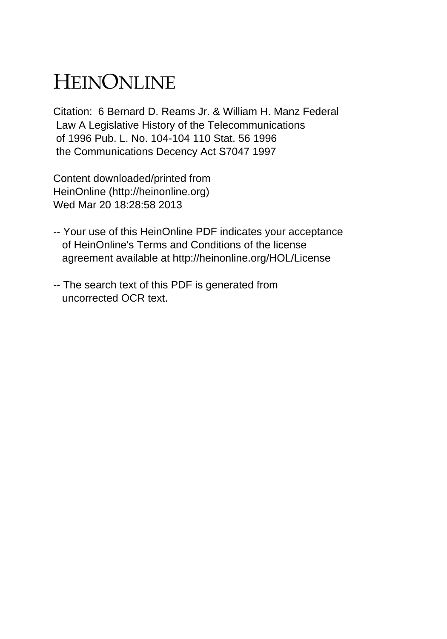# HEINONLINE

Citation: 6 Bernard D. Reams Jr. & William H. Manz Federal Law A Legislative History of the Telecommunications of 1996 Pub. L. No. 104-104 110 Stat. 56 1996 the Communications Decency Act S7047 1997

Content downloaded/printed from HeinOnline (http://heinonline.org) Wed Mar 20 18:28:58 2013

- -- Your use of this HeinOnline PDF indicates your acceptance of HeinOnline's Terms and Conditions of the license agreement available at http://heinonline.org/HOL/License
- -- The search text of this PDF is generated from uncorrected OCR text.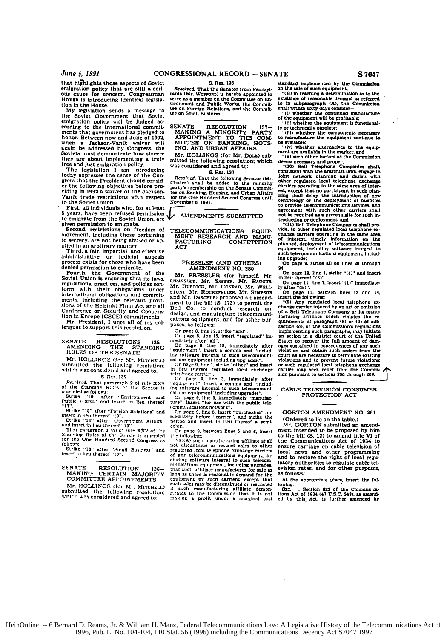ending to the international commit. SENATE RESOLUTION 137—<br>thents that government has pledged to MAKING A MINORITY PARTY<br>honor. Between now and June of 1992, APPOINTMENT. TO THE COM-<br>when a Jackson-Vanik walver will MITTEE again be addressed by Congress. the INGLINEWT A When a Jackson-Vanik water will MITTEE COM<br>again be addressed by Congress. the ING. AND URBAN AFFAIRS<br>again be addressed by Congress. the ING. AND URBAN AFFAIRS<br>Soviets must

they are about implementing a truly mitted the following resolution; which<br>Tree and just emigration policy.<br>The legislation 1 am introducing was considered and agreed to:<br>The legislation 1 am introducing was considered and

**5** years. have been refused permission  $\sqrt{\ }$  AMENDMENTS SUBMITTED to emigrate from the Soviet Union, are  $\sqrt{\ }$  AMENDMENTS SUBMITTED given permission to emigrate.

**given becond.** restrictions on freedom of TELECOMMUNICATIONS movement, including those pertaining MENT BESEARCH AND **Second, restrictions on freedom of TELECOMMUNICATIONS EQUIP-<br>movement, including those pertaining MENT RESEARCH AND MANU-<br>to secrecy, are not being abused or ap-<br>piled in an arbitrary manner.<br>ACT ACT** 

Third, a fair, Impartial, and effective<br>
arministrative or judicial appeals<br>
arministrative or judicial appeals<br>
process exists for those who have been<br>
denied permission to emigrate.<br>
AMENDMENT NO. 280<br>
Fourth. the Govern energy comments of the M. ENDMENT NO. 280<br>
Fourth, the Government of the M. PRESSLER (for himself, Mr.<br>
Soviet Union is ensuring that its laws, CRASSLER, Mr. SASSER, Mr. BAucors,<br>
regulations, practices, and policies con-

Compare 8, line 15, insert "regulated" im-<br>
SENATE RESOLUTIONS 135- mediately after "all".<br>
AMENDING THE STANDING On page 8, line 18, immediately after<br>
RULES OF THE SENATE (10 software insert a comma and "includ-

Exa. 136<br>
that highlights those aspects of Soviet<br>
emigration policy that are still a seri-<br>
emigration policy that are still a seri-<br>
cuse for concern. Congressman vania (Mr. Worrows) is bereby appointed to<br>
Horr is intr serve as a member on the Committee on Enterpreter and Public Works, the Commit-<br>tee on Foreign Relations, and the Commit-<br>tee on Small Business.

viding in 1992 a waiver of the Jackson-<br>
te on Banking. Housing, and Urban Affairs<br>
Vanik trade restrictions with respect for the One Hundred Second Congress until<br>
First, all individuals who, for at least<br>  $\Gamma$ <br>
First, a

Mr. HOLLINGS (for Mr. MITCHELL) existed integral and any explored in the following resolution. On page 9, line 1, stille "other" and integrates".<br>
which was considered and agreed to: in the thermode reciter. which was con

Surface Tap with TShull Business" and regulated local belophone exchange carriers<br>insert in the there of "19".<br>
of any telecommunications equipment, in<br>
cluding upgrades,<br>
SENATE RESOLUTION 136— interactions equipment, in

standard implemented **by** the Commislio on the sale of such equipment:

"(B) in reaching a determination as to **the** existene **of** reasonable demand as referred

to in subparagraph **(A).** the Commislon shall within sixty days consider- **"(I)** whether the continued manufacture of the equipment will be profitable:

**"i** whether the equipment is functional-**ly** or technically obsolete: **"(lll** whether the components necesary to manufacture the equipment continue to

be available; "(iv) whether altemallves to the equip-ment are available In the market; and **"iv)** such other factors **as** the Commission

deems necessary and proper;<br>
"(10) Bell Telephone Companies shall,<br>
consistent with the antitrust laws, engage in joint network planning and design with<br>other regulated local telephone exchange<br>carriers operating in the same area of inter-<br>est; except that no participant in such planning shall delay the introduction of new<br>technology agreement with such other carriers shall not be required as a prerequisite **for** such **In-**troduction or deployment; and **"(1ii** Bell Telephone Companies shall pro-

vide, to other regulated local telephone ex-<br>change carriers operating in the same area<br>of interest, timely information on the<br>planned, deployment of telecommunications equipment, including software integral to such telecommunications equipment, including upgrade; On page **9,** strike **all** on lines 20 through

24. On **page 10,** line **1.** strike **"(41"** and insert in lieu thereof **"(3)".**

Om page 11, line 7, insert "(1)" immediate-<br>on page 11, between lines 13 and 14,<br>insert the following:<br>compage 11, between lines 13 and 14,<br>"(2) Any regulated local telephone ex-<br>change carrier injured by an act or omissi an action in **a** district court of the United States to recover the full amount **of** damages sustained in consequences of any such<br>violation and obtain such orders from the<br>court as are necessary to terminate existing<br>violations and to prevent future violations;<br>or such regulated local telephone exchange carrier may seek relief from the **Commls-** */t* sion pursuant to sections 206 through 209.

## **CABLE TELEVISION** CONSUMER PROTECTION **ACT**

### GORTON **AMENDMENT NO.** 281 (Ordered to lie on the table.)

Mr. GORTON submitted an amendment intended to be proposed by him to the bill **(S. 12)** to amend title VI **of** the Communications Act of 1934 to ensure carriage on cable television of local news and other programming<br>and to restore the right of local regulatory authorities to regulate cable television rates, and for other purposes. **as follows:**

At the appropriate place, insert the following:<br>SEC.

Sac. **.** Section **823 of** the Communications Act **of** 1934 (47 **U.S.C.** 5431. as amend-ed **by** this. Act, is further amended **by**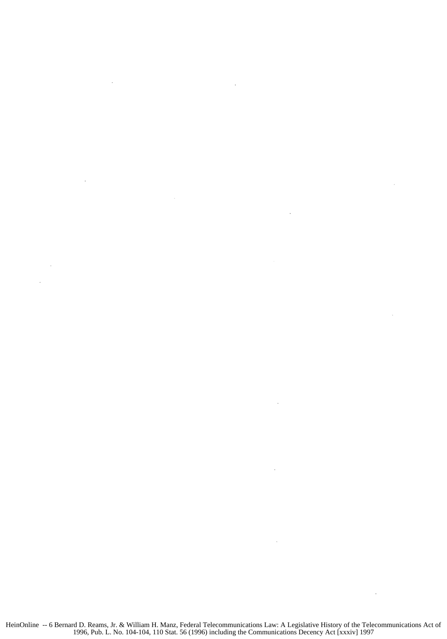HeinOnline -- 6 Bernard D. Reams, Jr. & William H. Manz, Federal Telecommunications Law: A Legislative History of the Telecommunications Act of 1996, Pub. L. No. 104-104, 110 Stat. 56 (1996) including the Communications Decency Act [xxxiv] 1997

 $\bar{z}$ 

 $\bar{z}$ 

 $\mathcal{A}$ 

 $\bar{\mathcal{A}}$ 

 $\sim$ 

 $\sim$ 

 $\sim$ 

 $\sim 10$ 

 $\overline{\phantom{a}}$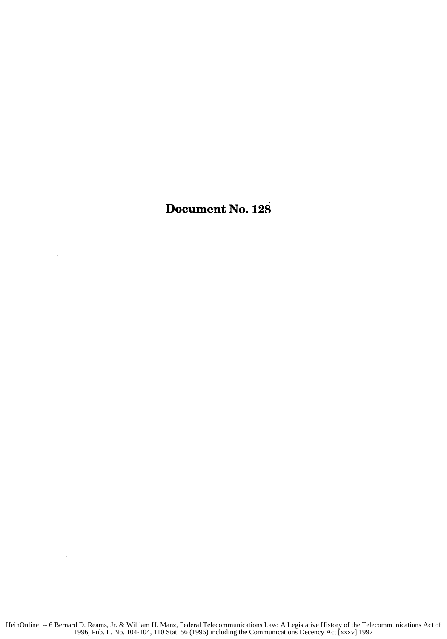Document No. 128

 $\bar{z}$ 

 $\sim$   $\sim$ 

 $\overline{\phantom{a}}$